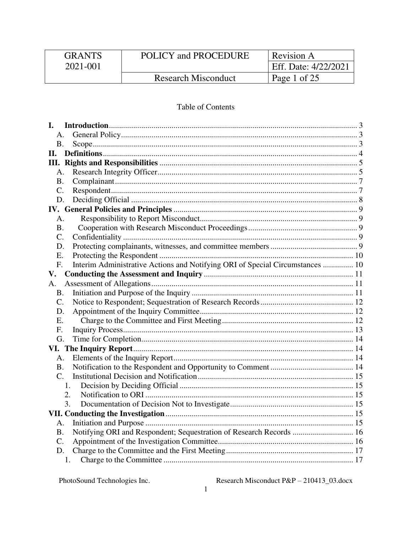| <b>GRANTS</b> | POLICY and PROCEDURE       | <b>Revision A</b>    |
|---------------|----------------------------|----------------------|
| 2021-001      |                            | Eff. Date: 4/22/2021 |
|               | <b>Research Misconduct</b> | Page 1 of 25         |

# Table of Contents

| L.          |                                                                               |  |
|-------------|-------------------------------------------------------------------------------|--|
| А.          |                                                                               |  |
| <b>B.</b>   |                                                                               |  |
| Н.          |                                                                               |  |
|             |                                                                               |  |
| A.          |                                                                               |  |
| <b>B.</b>   |                                                                               |  |
| $C_{\cdot}$ |                                                                               |  |
| D.          |                                                                               |  |
|             |                                                                               |  |
| A.          |                                                                               |  |
| <b>B.</b>   |                                                                               |  |
| $C_{\cdot}$ |                                                                               |  |
| D.          |                                                                               |  |
| Ε.          |                                                                               |  |
| F.          | Interim Administrative Actions and Notifying ORI of Special Circumstances  10 |  |
| V.          |                                                                               |  |
| A.          |                                                                               |  |
| <b>B.</b>   |                                                                               |  |
| $C_{\cdot}$ |                                                                               |  |
| D.          |                                                                               |  |
| Ε.          |                                                                               |  |
| F.          |                                                                               |  |
| G.          |                                                                               |  |
|             |                                                                               |  |
| A.          |                                                                               |  |
| <b>B.</b>   |                                                                               |  |
| $C_{\cdot}$ |                                                                               |  |
|             | 1.                                                                            |  |
|             | 2.                                                                            |  |
|             | 3.                                                                            |  |
|             |                                                                               |  |
| A.          |                                                                               |  |
| <b>B.</b>   | Notifying ORI and Respondent; Sequestration of Research Records  16           |  |
| $C_{\cdot}$ |                                                                               |  |
| D.          |                                                                               |  |
|             | 1.                                                                            |  |

PhotoSound Technologies Inc.

Research Misconduct  $P\&P - 210413\_{03}.\text{docx}$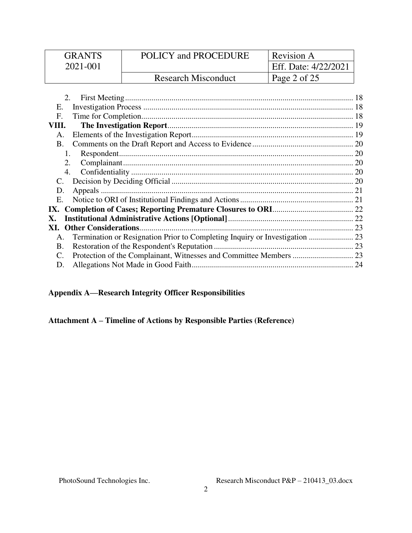| <b>GRANTS</b> | POLICY and PROCEDURE       | Revision A           |
|---------------|----------------------------|----------------------|
| 2021-001      |                            | Eff. Date: 4/22/2021 |
|               | <b>Research Misconduct</b> | Page 2 of 25         |

| $\mathcal{D}_{\alpha}$ |  |
|------------------------|--|
| Е.                     |  |
| F.                     |  |
| VIII.                  |  |
| A.                     |  |
| B.                     |  |
| 1.                     |  |
| 2.                     |  |
| 4.                     |  |
| $\mathbf{C}$           |  |
| D.                     |  |
| E.                     |  |
|                        |  |
| X.                     |  |
|                        |  |
| A.                     |  |
| B.                     |  |
| C.                     |  |
| D.                     |  |
|                        |  |

# **Appendix A—Research Integrity Officer Responsibilities**

**Attachment A – Timeline of Actions by Responsible Parties (Reference)**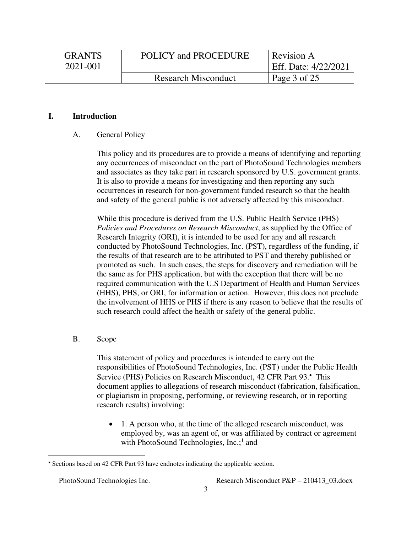| GRANTS   | POLICY and PROCEDURE       | Revision A           |
|----------|----------------------------|----------------------|
| 2021-001 |                            | Eff. Date: 4/22/2021 |
|          | <b>Research Misconduct</b> | Page 3 of 25         |

#### **I. Introduction**

## A. General Policy

<span id="page-2-1"></span><span id="page-2-0"></span>This policy and its procedures are to provide a means of identifying and reporting any occurrences of misconduct on the part of PhotoSound Technologies members and associates as they take part in research sponsored by U.S. government grants. It is also to provide a means for investigating and then reporting any such occurrences in research for non-government funded research so that the health and safety of the general public is not adversely affected by this misconduct.

While this procedure is derived from the U.S. Public Health Service (PHS) *Policies and Procedures on Research Misconduct*, as supplied by the Office of Research Integrity (ORI), it is intended to be used for any and all research conducted by PhotoSound Technologies, Inc. (PST), regardless of the funding, if the results of that research are to be attributed to PST and thereby published or promoted as such. In such cases, the steps for discovery and remediation will be the same as for PHS application, but with the exception that there will be no required communication with the U.S Department of Health and Human Services (HHS), PHS, or ORI, for information or action. However, this does not preclude the involvement of HHS or PHS if there is any reason to believe that the results of such research could affect the health or safety of the general public.

## B. Scope

<span id="page-2-2"></span>This statement of policy and procedures is intended to carry out the responsibilities of PhotoSound Technologies, Inc. (PST) under the Public Health Service (PHS) Policies on Research Misconduct, 42 CFR Part 93. This document applies to allegations of research misconduct (fabrication, falsification, or plagiarism in proposing, performing, or reviewing research, or in reporting research results) involving:

• 1. A person who, at the time of the alleged research misconduct, was employed by, was an agent of, or was affiliated by contract or agreement with PhotoSound Technologies, Inc.;<sup>1</sup> and

<sup>•</sup> Sections based on 42 CFR Part 93 have endnotes indicating the applicable section.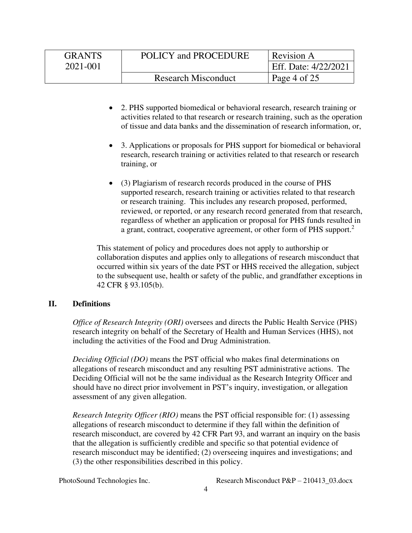| <b>GRANTS</b> | POLICY and PROCEDURE       | <b>Revision A</b>    |
|---------------|----------------------------|----------------------|
| 2021-001      |                            | Eff. Date: 4/22/2021 |
|               | <b>Research Misconduct</b> | Page 4 of 25         |

- 2. PHS supported biomedical or behavioral research, research training or activities related to that research or research training, such as the operation of tissue and data banks and the dissemination of research information, or,
- 3. Applications or proposals for PHS support for biomedical or behavioral research, research training or activities related to that research or research training, or
- (3) Plagiarism of research records produced in the course of PHS supported research, research training or activities related to that research or research training. This includes any research proposed, performed, reviewed, or reported, or any research record generated from that research, regardless of whether an application or proposal for PHS funds resulted in a grant, contract, cooperative agreement, or other form of PHS support.<sup>2</sup>

This statement of policy and procedures does not apply to authorship or collaboration disputes and applies only to allegations of research misconduct that occurred within six years of the date PST or HHS received the allegation, subject to the subsequent use, health or safety of the public, and grandfather exceptions in 42 CFR § 93.105(b).

# **II. Definitions**

<span id="page-3-0"></span> *Office of Research Integrity (ORI)* oversees and directs the Public Health Service (PHS) research integrity on behalf of the Secretary of Health and Human Services (HHS), not including the activities of the Food and Drug Administration.

*Deciding Official (DO)* means the PST official who makes final determinations on allegations of research misconduct and any resulting PST administrative actions. The Deciding Official will not be the same individual as the Research Integrity Officer and should have no direct prior involvement in PST's inquiry, investigation, or allegation assessment of any given allegation.

*Research Integrity Officer (RIO)* means the PST official responsible for: (1) assessing allegations of research misconduct to determine if they fall within the definition of research misconduct, are covered by 42 CFR Part 93, and warrant an inquiry on the basis that the allegation is sufficiently credible and specific so that potential evidence of research misconduct may be identified; (2) overseeing inquires and investigations; and (3) the other responsibilities described in this policy.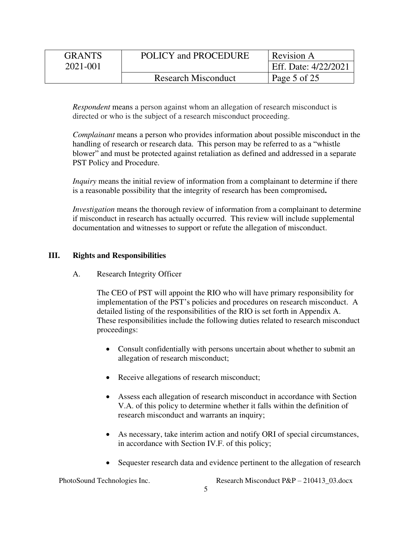| <b>GRANTS</b> | POLICY and PROCEDURE       | <b>Revision A</b>    |
|---------------|----------------------------|----------------------|
| 2021-001      |                            | Eff. Date: 4/22/2021 |
|               | <b>Research Misconduct</b> | Page 5 of 25         |

*Respondent* means a person against whom an allegation of research misconduct is directed or who is the subject of a research misconduct proceeding.

*Complainant* means a person who provides information about possible misconduct in the handling of research or research data. This person may be referred to as a "whistle blower" and must be protected against retaliation as defined and addressed in a separate PST Policy and Procedure.

*Inquiry* means the initial review of information from a complainant to determine if there is a reasonable possibility that the integrity of research has been compromised**.** 

*Investigation* means the thorough review of information from a complainant to determine if misconduct in research has actually occurred. This review will include supplemental documentation and witnesses to support or refute the allegation of misconduct.

## **III. Rights and Responsibilities**

A. Research Integrity Officer

<span id="page-4-1"></span><span id="page-4-0"></span>The CEO of PST will appoint the RIO who will have primary responsibility for implementation of the PST's policies and procedures on research misconduct. A detailed listing of the responsibilities of the RIO is set forth in Appendix A. These responsibilities include the following duties related to research misconduct proceedings:

- Consult confidentially with persons uncertain about whether to submit an allegation of research misconduct;
- Receive allegations of research misconduct;
- Assess each allegation of research misconduct in accordance with Section V.A. of this policy to determine whether it falls within the definition of research misconduct and warrants an inquiry;
- As necessary, take interim action and notify ORI of special circumstances, in accordance with Section IV.F. of this policy;
- Sequester research data and evidence pertinent to the allegation of research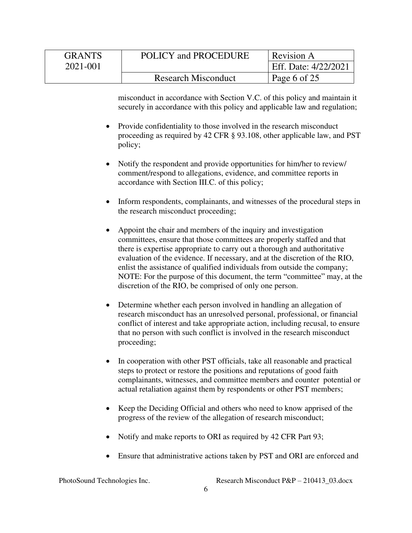| <b>GRANTS</b> | POLICY and PROCEDURE       | <b>Revision A</b>    |
|---------------|----------------------------|----------------------|
| 2021-001      |                            | Eff. Date: 4/22/2021 |
|               | <b>Research Misconduct</b> | Page 6 of 25         |

misconduct in accordance with Section V.C. of this policy and maintain it securely in accordance with this policy and applicable law and regulation;

- Provide confidentiality to those involved in the research misconduct proceeding as required by 42 CFR § 93.108, other applicable law, and PST policy;
- Notify the respondent and provide opportunities for him/her to review/ comment/respond to allegations, evidence, and committee reports in accordance with Section III.C. of this policy;
- Inform respondents, complainants, and witnesses of the procedural steps in the research misconduct proceeding;
- Appoint the chair and members of the inquiry and investigation committees, ensure that those committees are properly staffed and that there is expertise appropriate to carry out a thorough and authoritative evaluation of the evidence. If necessary, and at the discretion of the RIO, enlist the assistance of qualified individuals from outside the company; NOTE: For the purpose of this document, the term "committee" may, at the discretion of the RIO, be comprised of only one person.
- Determine whether each person involved in handling an allegation of research misconduct has an unresolved personal, professional, or financial conflict of interest and take appropriate action, including recusal, to ensure that no person with such conflict is involved in the research misconduct proceeding;
- In cooperation with other PST officials, take all reasonable and practical steps to protect or restore the positions and reputations of good faith complainants, witnesses, and committee members and counter potential or actual retaliation against them by respondents or other PST members;
- Keep the Deciding Official and others who need to know apprised of the progress of the review of the allegation of research misconduct;
- Notify and make reports to ORI as required by 42 CFR Part 93;
- Ensure that administrative actions taken by PST and ORI are enforced and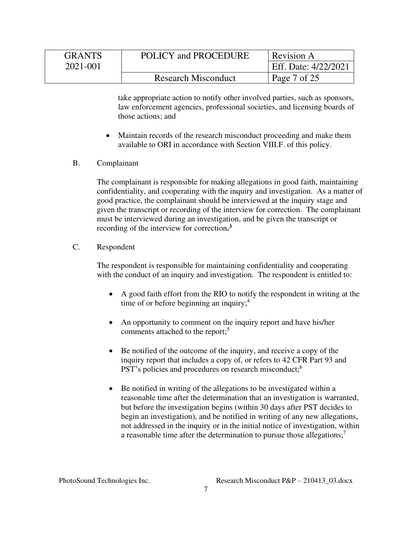| <b>GRANTS</b> | POLICY and PROCEDURE       | <b>Revision A</b>    |
|---------------|----------------------------|----------------------|
| 2021-001      |                            | Eff. Date: 4/22/2021 |
|               | <b>Research Misconduct</b> | Page 7 of 25         |

take appropriate action to notify other involved parties, such as sponsors, law enforcement agencies, professional societies, and licensing boards of those actions; and

- <span id="page-6-0"></span>• Maintain records of the research misconduct proceeding and make them available to ORI in accordance with Section VIII.F. of this policy.
- B. Complainant

The complainant is responsible for making allegations in good faith, maintaining confidentiality, and cooperating with the inquiry and investigation. As a matter of good practice, the complainant should be interviewed at the inquiry stage and given the transcript or recording of the interview for correction. The complainant must be interviewed during an investigation, and be given the transcript or recording of the interview for correction**. 3**

C. Respondent

<span id="page-6-1"></span>The respondent is responsible for maintaining confidentiality and cooperating with the conduct of an inquiry and investigation. The respondent is entitled to:

- A good faith effort from the RIO to notify the respondent in writing at the time of or before beginning an inquiry;<sup>4</sup>
- An opportunity to comment on the inquiry report and have his/her comments attached to the report;<sup>5</sup>
- Be notified of the outcome of the inquiry, and receive a copy of the inquiry report that includes a copy of, or refers to 42 CFR Part 93 and PST's policies and procedures on research misconduct;<sup>6</sup>
- Be notified in writing of the allegations to be investigated within a reasonable time after the determination that an investigation is warranted, but before the investigation begins (within 30 days after PST decides to begin an investigation), and be notified in writing of any new allegations, not addressed in the inquiry or in the initial notice of investigation, within a reasonable time after the determination to pursue those allegations;<sup>7</sup>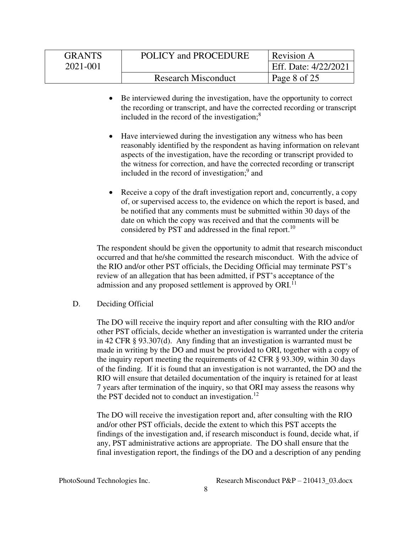| GRANTS   | POLICY and PROCEDURE       | <b>Revision A</b>    |
|----------|----------------------------|----------------------|
| 2021-001 |                            | Eff. Date: 4/22/2021 |
|          | <b>Research Misconduct</b> | Page 8 of 25         |

- Be interviewed during the investigation, have the opportunity to correct the recording or transcript, and have the corrected recording or transcript included in the record of the investigation;<sup>8</sup>
- Have interviewed during the investigation any witness who has been reasonably identified by the respondent as having information on relevant aspects of the investigation, have the recording or transcript provided to the witness for correction, and have the corrected recording or transcript included in the record of investigation;<sup>9</sup> and
- Receive a copy of the draft investigation report and, concurrently, a copy of, or supervised access to, the evidence on which the report is based, and be notified that any comments must be submitted within 30 days of the date on which the copy was received and that the comments will be considered by PST and addressed in the final report.<sup>10</sup>

The respondent should be given the opportunity to admit that research misconduct occurred and that he/she committed the research misconduct. With the advice of the RIO and/or other PST officials, the Deciding Official may terminate PST's review of an allegation that has been admitted, if PST's acceptance of the admission and any proposed settlement is approved by ORI.<sup>11</sup>

D. Deciding Official

<span id="page-7-0"></span>The DO will receive the inquiry report and after consulting with the RIO and/or other PST officials, decide whether an investigation is warranted under the criteria in 42 CFR § 93.307(d). Any finding that an investigation is warranted must be made in writing by the DO and must be provided to ORI, together with a copy of the inquiry report meeting the requirements of 42 CFR § 93.309, within 30 days of the finding. If it is found that an investigation is not warranted, the DO and the RIO will ensure that detailed documentation of the inquiry is retained for at least 7 years after termination of the inquiry, so that ORI may assess the reasons why the PST decided not to conduct an investigation.<sup>12</sup>

The DO will receive the investigation report and, after consulting with the RIO and/or other PST officials, decide the extent to which this PST accepts the findings of the investigation and, if research misconduct is found, decide what, if any, PST administrative actions are appropriate. The DO shall ensure that the final investigation report, the findings of the DO and a description of any pending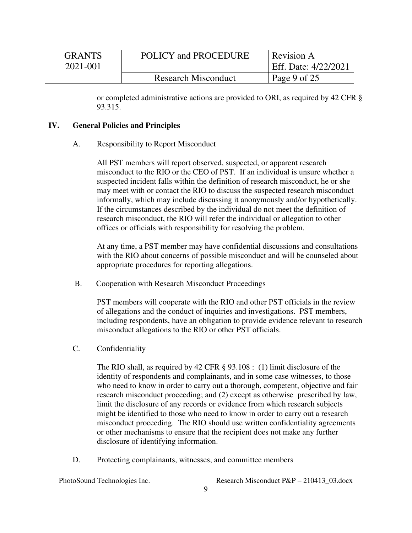| GRANTS.  | POLICY and PROCEDURE       | <b>Revision A</b>    |
|----------|----------------------------|----------------------|
| 2021-001 |                            | Eff. Date: 4/22/2021 |
|          | <b>Research Misconduct</b> | Page 9 of 25         |

<span id="page-8-0"></span>or completed administrative actions are provided to ORI, as required by 42 CFR § 93.315.

## **IV. General Policies and Principles**

A. Responsibility to Report Misconduct

<span id="page-8-1"></span>All PST members will report observed, suspected, or apparent research misconduct to the RIO or the CEO of PST. If an individual is unsure whether a suspected incident falls within the definition of research misconduct, he or she may meet with or contact the RIO to discuss the suspected research misconduct informally, which may include discussing it anonymously and/or hypothetically. If the circumstances described by the individual do not meet the definition of research misconduct, the RIO will refer the individual or allegation to other offices or officials with responsibility for resolving the problem.

At any time, a PST member may have confidential discussions and consultations with the RIO about concerns of possible misconduct and will be counseled about appropriate procedures for reporting allegations.

B. Cooperation with Research Misconduct Proceedings

<span id="page-8-2"></span>PST members will cooperate with the RIO and other PST officials in the review of allegations and the conduct of inquiries and investigations. PST members, including respondents, have an obligation to provide evidence relevant to research misconduct allegations to the RIO or other PST officials.

C. Confidentiality

<span id="page-8-4"></span><span id="page-8-3"></span>The RIO shall, as required by 42 CFR § 93.108 : (1) limit disclosure of the identity of respondents and complainants, and in some case witnesses, to those who need to know in order to carry out a thorough, competent, objective and fair research misconduct proceeding; and (2) except as otherwise prescribed by law, limit the disclosure of any records or evidence from which research subjects might be identified to those who need to know in order to carry out a research misconduct proceeding. The RIO should use written confidentiality agreements or other mechanisms to ensure that the recipient does not make any further disclosure of identifying information.

D. Protecting complainants, witnesses, and committee members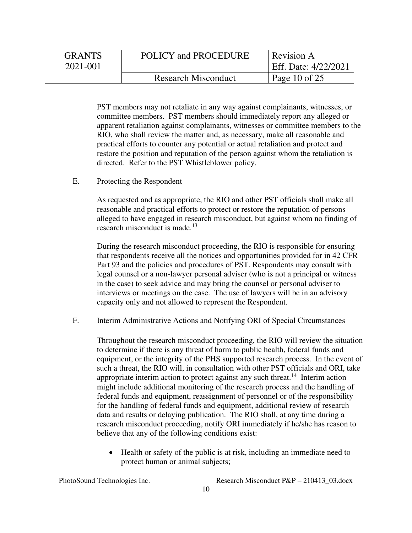| GRANTS-  | POLICY and PROCEDURE       | <b>Revision A</b>    |
|----------|----------------------------|----------------------|
| 2021-001 |                            | Eff. Date: 4/22/2021 |
|          | <b>Research Misconduct</b> | Page $10$ of $25$    |

PST members may not retaliate in any way against complainants, witnesses, or committee members. PST members should immediately report any alleged or apparent retaliation against complainants, witnesses or committee members to the RIO, who shall review the matter and, as necessary, make all reasonable and practical efforts to counter any potential or actual retaliation and protect and restore the position and reputation of the person against whom the retaliation is directed. Refer to the PST Whistleblower policy.

E. Protecting the Respondent

<span id="page-9-0"></span>As requested and as appropriate, the RIO and other PST officials shall make all reasonable and practical efforts to protect or restore the reputation of persons alleged to have engaged in research misconduct, but against whom no finding of research misconduct is made.<sup>13</sup>

During the research misconduct proceeding, the RIO is responsible for ensuring that respondents receive all the notices and opportunities provided for in 42 CFR Part 93 and the policies and procedures of PST. Respondents may consult with legal counsel or a non-lawyer personal adviser (who is not a principal or witness in the case) to seek advice and may bring the counsel or personal adviser to interviews or meetings on the case. The use of lawyers will be in an advisory capacity only and not allowed to represent the Respondent.

F. Interim Administrative Actions and Notifying ORI of Special Circumstances

<span id="page-9-1"></span>Throughout the research misconduct proceeding, the RIO will review the situation to determine if there is any threat of harm to public health, federal funds and equipment, or the integrity of the PHS supported research process. In the event of such a threat, the RIO will, in consultation with other PST officials and ORI, take appropriate interim action to protect against any such threat.<sup>14</sup> Interim action might include additional monitoring of the research process and the handling of federal funds and equipment, reassignment of personnel or of the responsibility for the handling of federal funds and equipment, additional review of research data and results or delaying publication. The RIO shall, at any time during a research misconduct proceeding, notify ORI immediately if he/she has reason to believe that any of the following conditions exist:

• Health or safety of the public is at risk, including an immediate need to protect human or animal subjects;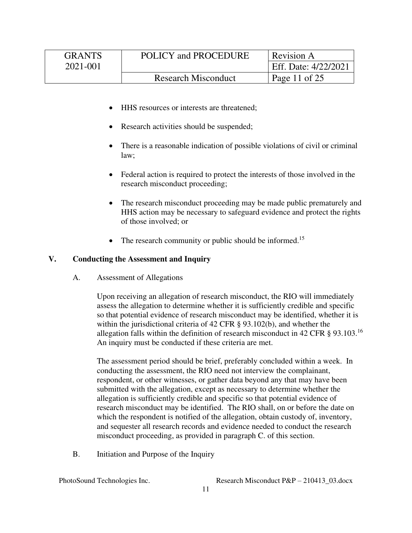| <b>GRANTS</b> | POLICY and PROCEDURE       | <b>Revision A</b>    |
|---------------|----------------------------|----------------------|
| 2021-001      |                            | Eff. Date: 4/22/2021 |
|               | <b>Research Misconduct</b> | Page 11 of 25        |

- HHS resources or interests are threatened;
- Research activities should be suspended;
- There is a reasonable indication of possible violations of civil or criminal law;
- Federal action is required to protect the interests of those involved in the research misconduct proceeding;
- The research misconduct proceeding may be made public prematurely and HHS action may be necessary to safeguard evidence and protect the rights of those involved; or
- <span id="page-10-1"></span><span id="page-10-0"></span>• The research community or public should be informed.<sup>15</sup>

#### **V. Conducting the Assessment and Inquiry**

A. Assessment of Allegations

 Upon receiving an allegation of research misconduct, the RIO will immediately assess the allegation to determine whether it is sufficiently credible and specific so that potential evidence of research misconduct may be identified, whether it is within the jurisdictional criteria of 42 CFR § 93.102(b), and whether the allegation falls within the definition of research misconduct in 42 CFR  $\S$  93.103.<sup>16</sup> An inquiry must be conducted if these criteria are met.

 The assessment period should be brief, preferably concluded within a week. In conducting the assessment, the RIO need not interview the complainant, respondent, or other witnesses, or gather data beyond any that may have been submitted with the allegation, except as necessary to determine whether the allegation is sufficiently credible and specific so that potential evidence of research misconduct may be identified. The RIO shall, on or before the date on which the respondent is notified of the allegation, obtain custody of, inventory, and sequester all research records and evidence needed to conduct the research misconduct proceeding, as provided in paragraph C. of this section.

<span id="page-10-2"></span>B. Initiation and Purpose of the Inquiry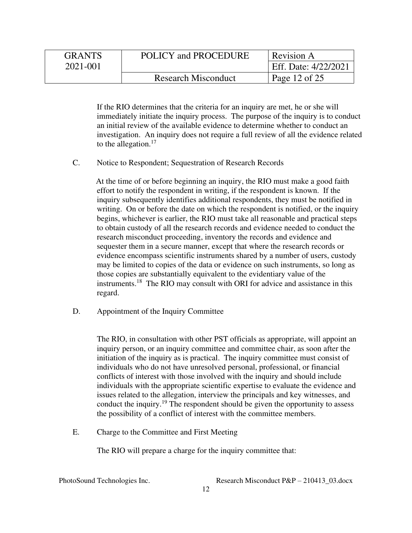| <b>GRANTS</b> | POLICY and PROCEDURE       | <b>Revision A</b>    |
|---------------|----------------------------|----------------------|
| 2021-001      |                            | Eff. Date: 4/22/2021 |
|               | <b>Research Misconduct</b> | Page 12 of 25        |

 If the RIO determines that the criteria for an inquiry are met, he or she will immediately initiate the inquiry process. The purpose of the inquiry is to conduct an initial review of the available evidence to determine whether to conduct an investigation. An inquiry does not require a full review of all the evidence related to the allegation. $17$ 

C. Notice to Respondent; Sequestration of Research Records

<span id="page-11-0"></span> At the time of or before beginning an inquiry, the RIO must make a good faith effort to notify the respondent in writing, if the respondent is known. If the inquiry subsequently identifies additional respondents, they must be notified in writing. On or before the date on which the respondent is notified, or the inquiry begins, whichever is earlier, the RIO must take all reasonable and practical steps to obtain custody of all the research records and evidence needed to conduct the research misconduct proceeding, inventory the records and evidence and sequester them in a secure manner, except that where the research records or evidence encompass scientific instruments shared by a number of users, custody may be limited to copies of the data or evidence on such instruments, so long as those copies are substantially equivalent to the evidentiary value of the instruments.<sup>18</sup> The RIO may consult with ORI for advice and assistance in this regard.

D. Appointment of the Inquiry Committee

<span id="page-11-1"></span>The RIO, in consultation with other PST officials as appropriate, will appoint an inquiry person, or an inquiry committee and committee chair, as soon after the initiation of the inquiry as is practical. The inquiry committee must consist of individuals who do not have unresolved personal, professional, or financial conflicts of interest with those involved with the inquiry and should include individuals with the appropriate scientific expertise to evaluate the evidence and issues related to the allegation, interview the principals and key witnesses, and conduct the inquiry.<sup>19</sup> The respondent should be given the opportunity to assess the possibility of a conflict of interest with the committee members.

E. Charge to the Committee and First Meeting

<span id="page-11-2"></span>The RIO will prepare a charge for the inquiry committee that: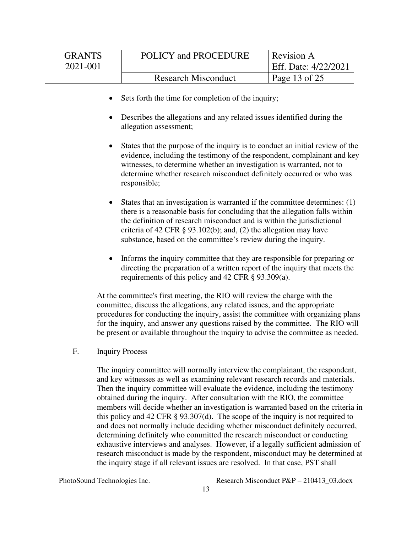| <b>GRANTS</b> | POLICY and PROCEDURE       | <b>Revision A</b>    |
|---------------|----------------------------|----------------------|
| 2021-001      |                            | Eff. Date: 4/22/2021 |
|               | <b>Research Misconduct</b> | Page 13 of 25        |

- Sets forth the time for completion of the inquiry;
- Describes the allegations and any related issues identified during the allegation assessment;
- States that the purpose of the inquiry is to conduct an initial review of the evidence, including the testimony of the respondent, complainant and key witnesses, to determine whether an investigation is warranted, not to determine whether research misconduct definitely occurred or who was responsible;
- States that an investigation is warranted if the committee determines: (1) there is a reasonable basis for concluding that the allegation falls within the definition of research misconduct and is within the jurisdictional criteria of 42 CFR § 93.102(b); and, (2) the allegation may have substance, based on the committee's review during the inquiry.
- Informs the inquiry committee that they are responsible for preparing or directing the preparation of a written report of the inquiry that meets the requirements of this policy and 42 CFR § 93.309(a).

At the committee's first meeting, the RIO will review the charge with the committee, discuss the allegations, any related issues, and the appropriate procedures for conducting the inquiry, assist the committee with organizing plans for the inquiry, and answer any questions raised by the committee. The RIO will be present or available throughout the inquiry to advise the committee as needed.

F. Inquiry Process

<span id="page-12-0"></span>The inquiry committee will normally interview the complainant, the respondent, and key witnesses as well as examining relevant research records and materials. Then the inquiry committee will evaluate the evidence, including the testimony obtained during the inquiry. After consultation with the RIO, the committee members will decide whether an investigation is warranted based on the criteria in this policy and 42 CFR § 93.307(d). The scope of the inquiry is not required to and does not normally include deciding whether misconduct definitely occurred, determining definitely who committed the research misconduct or conducting exhaustive interviews and analyses. However, if a legally sufficient admission of research misconduct is made by the respondent, misconduct may be determined at the inquiry stage if all relevant issues are resolved. In that case, PST shall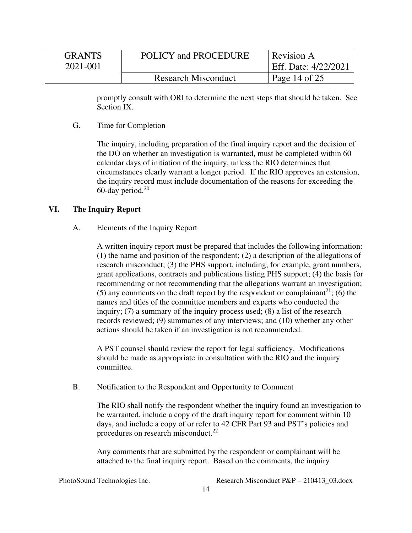| <b>GRANTS</b> | POLICY and PROCEDURE       | Revision A           |
|---------------|----------------------------|----------------------|
| $2021 - 001$  |                            | Eff. Date: 4/22/2021 |
|               | <b>Research Misconduct</b> | Page 14 of 25        |

promptly consult with ORI to determine the next steps that should be taken. See Section IX.

## G. Time for Completion

<span id="page-13-0"></span>The inquiry, including preparation of the final inquiry report and the decision of the DO on whether an investigation is warranted, must be completed within 60 calendar days of initiation of the inquiry, unless the RIO determines that circumstances clearly warrant a longer period. If the RIO approves an extension, the inquiry record must include documentation of the reasons for exceeding the 60-day period. $20$ 

# **VI. The Inquiry Report**

# A. Elements of the Inquiry Report

<span id="page-13-2"></span><span id="page-13-1"></span>A written inquiry report must be prepared that includes the following information: (1) the name and position of the respondent; (2) a description of the allegations of research misconduct; (3) the PHS support, including, for example, grant numbers, grant applications, contracts and publications listing PHS support; (4) the basis for recommending or not recommending that the allegations warrant an investigation; (5) any comments on the draft report by the respondent or complainant<sup>21</sup>; (6) the names and titles of the committee members and experts who conducted the inquiry; (7) a summary of the inquiry process used; (8) a list of the research records reviewed; (9) summaries of any interviews; and (10) whether any other actions should be taken if an investigation is not recommended.

A PST counsel should review the report for legal sufficiency. Modifications should be made as appropriate in consultation with the RIO and the inquiry committee.

B. Notification to the Respondent and Opportunity to Comment

<span id="page-13-3"></span>The RIO shall notify the respondent whether the inquiry found an investigation to be warranted, include a copy of the draft inquiry report for comment within 10 days, and include a copy of or refer to 42 CFR Part 93 and PST's policies and procedures on research misconduct.<sup>22</sup>

Any comments that are submitted by the respondent or complainant will be attached to the final inquiry report. Based on the comments, the inquiry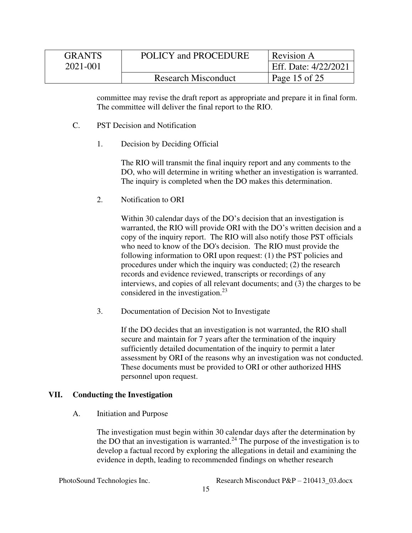| <b>GRANTS</b> | POLICY and PROCEDURE       | <b>Revision A</b>    |
|---------------|----------------------------|----------------------|
| 2021-001      |                            | Eff. Date: 4/22/2021 |
|               | <b>Research Misconduct</b> | Page 15 of 25        |

committee may revise the draft report as appropriate and prepare it in final form. The committee will deliver the final report to the RIO.

- C. PST Decision and Notification
	- 1. Decision by Deciding Official

<span id="page-14-1"></span><span id="page-14-0"></span>The RIO will transmit the final inquiry report and any comments to the DO, who will determine in writing whether an investigation is warranted. The inquiry is completed when the DO makes this determination.

2. Notification to ORI

<span id="page-14-2"></span>Within 30 calendar days of the DO's decision that an investigation is warranted, the RIO will provide ORI with the DO's written decision and a copy of the inquiry report. The RIO will also notify those PST officials who need to know of the DO's decision. The RIO must provide the following information to ORI upon request: (1) the PST policies and procedures under which the inquiry was conducted; (2) the research records and evidence reviewed, transcripts or recordings of any interviews, and copies of all relevant documents; and (3) the charges to be considered in the investigation.<sup>23</sup>

3. Documentation of Decision Not to Investigate

<span id="page-14-4"></span><span id="page-14-3"></span>If the DO decides that an investigation is not warranted, the RIO shall secure and maintain for 7 years after the termination of the inquiry sufficiently detailed documentation of the inquiry to permit a later assessment by ORI of the reasons why an investigation was not conducted. These documents must be provided to ORI or other authorized HHS personnel upon request.

#### **VII. Conducting the Investigation**

A. Initiation and Purpose

<span id="page-14-5"></span> The investigation must begin within 30 calendar days after the determination by the DO that an investigation is warranted.<sup>24</sup> The purpose of the investigation is to develop a factual record by exploring the allegations in detail and examining the evidence in depth, leading to recommended findings on whether research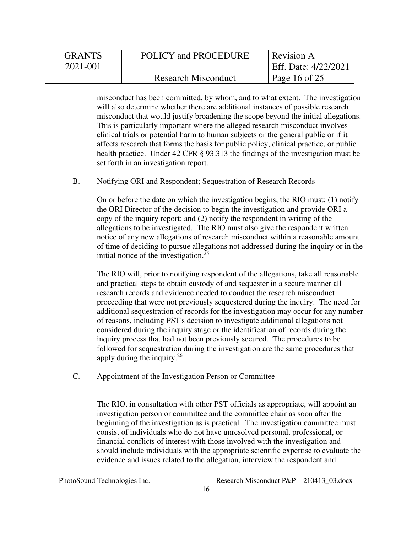| <b>GRANTS</b> | POLICY and PROCEDURE       | Revision A           |
|---------------|----------------------------|----------------------|
| 2021-001      |                            | Eff. Date: 4/22/2021 |
|               | <b>Research Misconduct</b> | Page 16 of 25        |

misconduct has been committed, by whom, and to what extent. The investigation will also determine whether there are additional instances of possible research misconduct that would justify broadening the scope beyond the initial allegations. This is particularly important where the alleged research misconduct involves clinical trials or potential harm to human subjects or the general public or if it affects research that forms the basis for public policy, clinical practice, or public health practice. Under 42 CFR § 93.313 the findings of the investigation must be set forth in an investigation report.

#### B. Notifying ORI and Respondent; Sequestration of Research Records

<span id="page-15-0"></span>On or before the date on which the investigation begins, the RIO must: (1) notify the ORI Director of the decision to begin the investigation and provide ORI a copy of the inquiry report; and (2) notify the respondent in writing of the allegations to be investigated. The RIO must also give the respondent written notice of any new allegations of research misconduct within a reasonable amount of time of deciding to pursue allegations not addressed during the inquiry or in the initial notice of the investigation. $25$ 

The RIO will, prior to notifying respondent of the allegations, take all reasonable and practical steps to obtain custody of and sequester in a secure manner all research records and evidence needed to conduct the research misconduct proceeding that were not previously sequestered during the inquiry. The need for additional sequestration of records for the investigation may occur for any number of reasons, including PST's decision to investigate additional allegations not considered during the inquiry stage or the identification of records during the inquiry process that had not been previously secured. The procedures to be followed for sequestration during the investigation are the same procedures that apply during the inquiry.<sup>26</sup>

C. Appointment of the Investigation Person or Committee

<span id="page-15-1"></span>The RIO, in consultation with other PST officials as appropriate, will appoint an investigation person or committee and the committee chair as soon after the beginning of the investigation as is practical. The investigation committee must consist of individuals who do not have unresolved personal, professional, or financial conflicts of interest with those involved with the investigation and should include individuals with the appropriate scientific expertise to evaluate the evidence and issues related to the allegation, interview the respondent and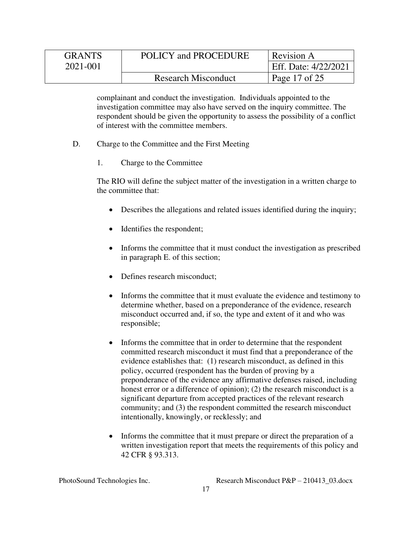| <b>GRANTS</b> | <b>POLICY and PROCEDURE</b> | Revision A           |
|---------------|-----------------------------|----------------------|
| 2021-001      |                             | Eff. Date: 4/22/2021 |
|               | <b>Research Misconduct</b>  | Page 17 of 25        |

complainant and conduct the investigation. Individuals appointed to the investigation committee may also have served on the inquiry committee. The respondent should be given the opportunity to assess the possibility of a conflict of interest with the committee members.

- D. Charge to the Committee and the First Meeting
	- 1. Charge to the Committee

The RIO will define the subject matter of the investigation in a written charge to the committee that:

- <span id="page-16-1"></span><span id="page-16-0"></span>• Describes the allegations and related issues identified during the inquiry;
- Identifies the respondent;
- Informs the committee that it must conduct the investigation as prescribed in paragraph E. of this section;
- Defines research misconduct;
- Informs the committee that it must evaluate the evidence and testimony to determine whether, based on a preponderance of the evidence, research misconduct occurred and, if so, the type and extent of it and who was responsible;
- Informs the committee that in order to determine that the respondent committed research misconduct it must find that a preponderance of the evidence establishes that: (1) research misconduct, as defined in this policy, occurred (respondent has the burden of proving by a preponderance of the evidence any affirmative defenses raised, including honest error or a difference of opinion); (2) the research misconduct is a significant departure from accepted practices of the relevant research community; and (3) the respondent committed the research misconduct intentionally, knowingly, or recklessly; and
- Informs the committee that it must prepare or direct the preparation of a written investigation report that meets the requirements of this policy and 42 CFR § 93.313.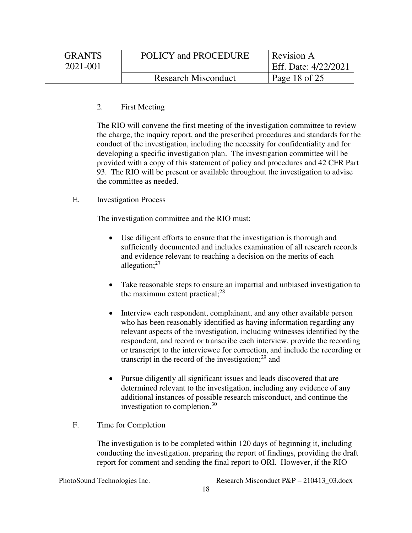| <b>GRANTS</b> | POLICY and PROCEDURE       | <b>Revision A</b>    |
|---------------|----------------------------|----------------------|
| 2021-001      |                            | Eff. Date: 4/22/2021 |
|               | <b>Research Misconduct</b> | Page 18 of 25        |

## <span id="page-17-0"></span>2. First Meeting

The RIO will convene the first meeting of the investigation committee to review the charge, the inquiry report, and the prescribed procedures and standards for the conduct of the investigation, including the necessity for confidentiality and for developing a specific investigation plan. The investigation committee will be provided with a copy of this statement of policy and procedures and 42 CFR Part 93. The RIO will be present or available throughout the investigation to advise the committee as needed.

## E. Investigation Process

The investigation committee and the RIO must:

- <span id="page-17-1"></span>• Use diligent efforts to ensure that the investigation is thorough and sufficiently documented and includes examination of all research records and evidence relevant to reaching a decision on the merits of each allegation;<sup>27</sup>
- Take reasonable steps to ensure an impartial and unbiased investigation to the maximum extent practical; $^{28}$
- Interview each respondent, complainant, and any other available person who has been reasonably identified as having information regarding any relevant aspects of the investigation, including witnesses identified by the respondent, and record or transcribe each interview, provide the recording or transcript to the interviewee for correction, and include the recording or transcript in the record of the investigation; $^{29}$  and
- Pursue diligently all significant issues and leads discovered that are determined relevant to the investigation, including any evidence of any additional instances of possible research misconduct, and continue the investigation to completion.<sup>30</sup>
- F. Time for Completion

<span id="page-17-2"></span>The investigation is to be completed within 120 days of beginning it, including conducting the investigation, preparing the report of findings, providing the draft report for comment and sending the final report to ORI. However, if the RIO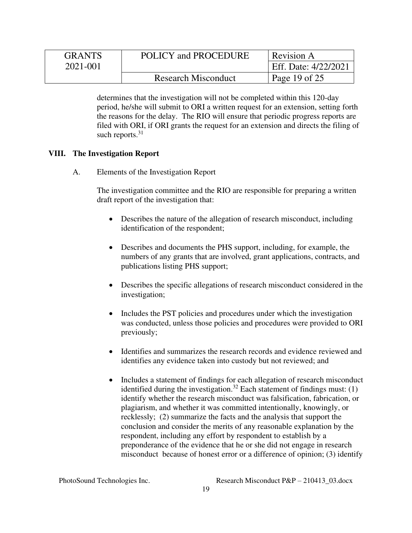| <b>GRANTS</b> | POLICY and PROCEDURE       | <b>Revision A</b>    |
|---------------|----------------------------|----------------------|
| 2021-001      |                            | Eff. Date: 4/22/2021 |
|               | <b>Research Misconduct</b> | Page 19 of 25        |

determines that the investigation will not be completed within this 120-day period, he/she will submit to ORI a written request for an extension, setting forth the reasons for the delay. The RIO will ensure that periodic progress reports are filed with ORI, if ORI grants the request for an extension and directs the filing of such reports.<sup>31</sup>

## **VIII. The Investigation Report**

A. Elements of the Investigation Report

<span id="page-18-0"></span>The investigation committee and the RIO are responsible for preparing a written draft report of the investigation that:

- <span id="page-18-1"></span>• Describes the nature of the allegation of research misconduct, including identification of the respondent;
- Describes and documents the PHS support, including, for example, the numbers of any grants that are involved, grant applications, contracts, and publications listing PHS support;
- Describes the specific allegations of research misconduct considered in the investigation;
- Includes the PST policies and procedures under which the investigation was conducted, unless those policies and procedures were provided to ORI previously;
- Identifies and summarizes the research records and evidence reviewed and identifies any evidence taken into custody but not reviewed; and
- Includes a statement of findings for each allegation of research misconduct identified during the investigation.<sup>32</sup> Each statement of findings must: (1) identify whether the research misconduct was falsification, fabrication, or plagiarism, and whether it was committed intentionally, knowingly, or recklessly; (2) summarize the facts and the analysis that support the conclusion and consider the merits of any reasonable explanation by the respondent, including any effort by respondent to establish by a preponderance of the evidence that he or she did not engage in research misconduct because of honest error or a difference of opinion; (3) identify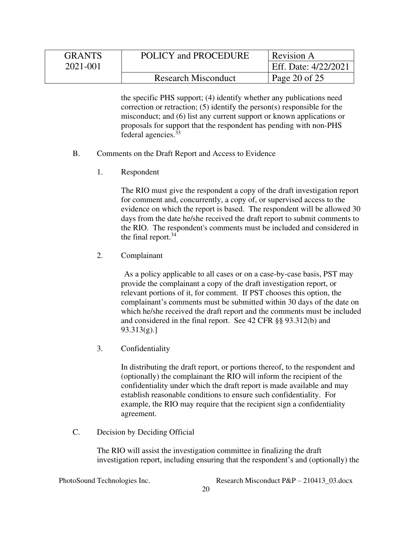| <b>GRANTS</b> | POLICY and PROCEDURE       | Revision A           |
|---------------|----------------------------|----------------------|
| 2021-001      |                            | Eff. Date: 4/22/2021 |
|               | <b>Research Misconduct</b> | Page 20 of 25        |

the specific PHS support; (4) identify whether any publications need correction or retraction; (5) identify the person(s) responsible for the misconduct; and (6) list any current support or known applications or proposals for support that the respondent has pending with non-PHS federal agencies.<sup>33</sup>

## B. Comments on the Draft Report and Access to Evidence

1. Respondent

<span id="page-19-1"></span><span id="page-19-0"></span>The RIO must give the respondent a copy of the draft investigation report for comment and, concurrently, a copy of, or supervised access to the evidence on which the report is based. The respondent will be allowed 30 days from the date he/she received the draft report to submit comments to the RIO. The respondent's comments must be included and considered in the final report. $34$ 

2. Complainant

<span id="page-19-2"></span>As a policy applicable to all cases or on a case-by-case basis, PST may provide the complainant a copy of the draft investigation report, or relevant portions of it, for comment. If PST chooses this option, the complainant's comments must be submitted within 30 days of the date on which he/she received the draft report and the comments must be included and considered in the final report. See 42 CFR §§ 93.312(b) and 93.313(g).]

3. Confidentiality

<span id="page-19-4"></span><span id="page-19-3"></span>In distributing the draft report, or portions thereof, to the respondent and (optionally) the complainant the RIO will inform the recipient of the confidentiality under which the draft report is made available and may establish reasonable conditions to ensure such confidentiality. For example, the RIO may require that the recipient sign a confidentiality agreement.

C. Decision by Deciding Official

The RIO will assist the investigation committee in finalizing the draft investigation report, including ensuring that the respondent's and (optionally) the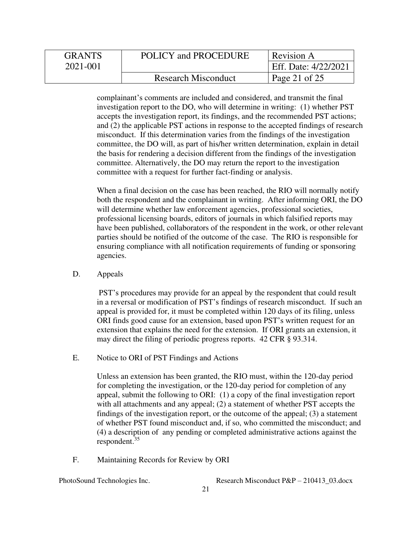| <b>GRANTS</b> | <b>POLICY and PROCEDURE</b> | Revision A           |
|---------------|-----------------------------|----------------------|
| 2021-001      |                             | Eff. Date: 4/22/2021 |
|               | <b>Research Misconduct</b>  | Page 21 of 25        |

complainant's comments are included and considered, and transmit the final investigation report to the DO, who will determine in writing: (1) whether PST accepts the investigation report, its findings, and the recommended PST actions; and (2) the applicable PST actions in response to the accepted findings of research misconduct. If this determination varies from the findings of the investigation committee, the DO will, as part of his/her written determination, explain in detail the basis for rendering a decision different from the findings of the investigation committee. Alternatively, the DO may return the report to the investigation committee with a request for further fact-finding or analysis.

When a final decision on the case has been reached, the RIO will normally notify both the respondent and the complainant in writing. After informing ORI, the DO will determine whether law enforcement agencies, professional societies, professional licensing boards, editors of journals in which falsified reports may have been published, collaborators of the respondent in the work, or other relevant parties should be notified of the outcome of the case. The RIO is responsible for ensuring compliance with all notification requirements of funding or sponsoring agencies.

D. Appeals

<span id="page-20-0"></span>PST's procedures may provide for an appeal by the respondent that could result in a reversal or modification of PST's findings of research misconduct. If such an appeal is provided for, it must be completed within 120 days of its filing, unless ORI finds good cause for an extension, based upon PST's written request for an extension that explains the need for the extension. If ORI grants an extension, it may direct the filing of periodic progress reports. 42 CFR § 93.314.

E. Notice to ORI of PST Findings and Actions

<span id="page-20-1"></span>Unless an extension has been granted, the RIO must, within the 120-day period for completing the investigation, or the 120-day period for completion of any appeal, submit the following to ORI: (1) a copy of the final investigation report with all attachments and any appeal; (2) a statement of whether PST accepts the findings of the investigation report, or the outcome of the appeal; (3) a statement of whether PST found misconduct and, if so, who committed the misconduct; and (4) a description of any pending or completed administrative actions against the respondent.<sup>35</sup>

F. Maintaining Records for Review by ORI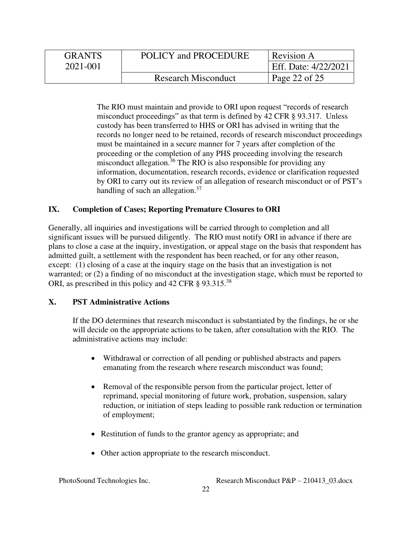| <b>GRANTS</b> | POLICY and PROCEDURE       | <b>Revision A</b>    |
|---------------|----------------------------|----------------------|
| 2021-001      |                            | Eff. Date: 4/22/2021 |
|               | <b>Research Misconduct</b> | Page 22 of 25        |

<span id="page-21-0"></span>The RIO must maintain and provide to ORI upon request "records of research misconduct proceedings" as that term is defined by 42 CFR § 93.317. Unless custody has been transferred to HHS or ORI has advised in writing that the records no longer need to be retained, records of research misconduct proceedings must be maintained in a secure manner for 7 years after completion of the proceeding or the completion of any PHS proceeding involving the research misconduct allegation.<sup>36</sup> The RIO is also responsible for providing any information, documentation, research records, evidence or clarification requested by ORI to carry out its review of an allegation of research misconduct or of PST's handling of such an allegation. $37$ 

# **IX. Completion of Cases; Reporting Premature Closures to ORI**

Generally, all inquiries and investigations will be carried through to completion and all significant issues will be pursued diligently. The RIO must notify ORI in advance if there are plans to close a case at the inquiry, investigation, or appeal stage on the basis that respondent has admitted guilt, a settlement with the respondent has been reached, or for any other reason, except: (1) closing of a case at the inquiry stage on the basis that an investigation is not warranted; or (2) a finding of no misconduct at the investigation stage, which must be reported to ORI, as prescribed in this policy and 42 CFR § 93.315.<sup>38</sup>

# **X. PST Administrative Actions**

If the DO determines that research misconduct is substantiated by the findings, he or she will decide on the appropriate actions to be taken, after consultation with the RIO. The administrative actions may include:

- <span id="page-21-1"></span>• Withdrawal or correction of all pending or published abstracts and papers emanating from the research where research misconduct was found;
- Removal of the responsible person from the particular project, letter of reprimand, special monitoring of future work, probation, suspension, salary reduction, or initiation of steps leading to possible rank reduction or termination of employment;
- Restitution of funds to the grantor agency as appropriate; and
- Other action appropriate to the research misconduct.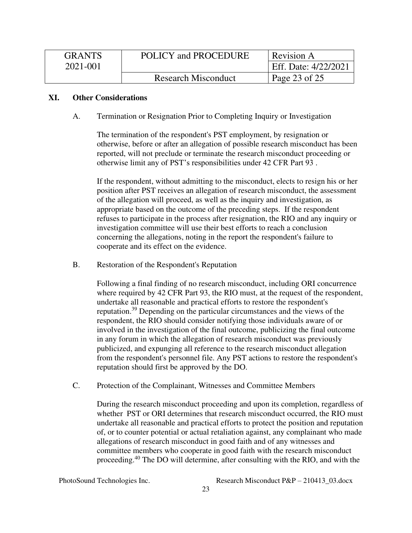| GRANTS   | POLICY and PROCEDURE       | <b>Revision A</b>    |
|----------|----------------------------|----------------------|
| 2021-001 |                            | Eff. Date: 4/22/2021 |
|          | <b>Research Misconduct</b> | Page 23 of 25        |

## **XI. Other Considerations**

A. Termination or Resignation Prior to Completing Inquiry or Investigation

<span id="page-22-1"></span><span id="page-22-0"></span>The termination of the respondent's PST employment, by resignation or otherwise, before or after an allegation of possible research misconduct has been reported, will not preclude or terminate the research misconduct proceeding or otherwise limit any of PST's responsibilities under 42 CFR Part 93 .

If the respondent, without admitting to the misconduct, elects to resign his or her position after PST receives an allegation of research misconduct, the assessment of the allegation will proceed, as well as the inquiry and investigation, as appropriate based on the outcome of the preceding steps. If the respondent refuses to participate in the process after resignation, the RIO and any inquiry or investigation committee will use their best efforts to reach a conclusion concerning the allegations, noting in the report the respondent's failure to cooperate and its effect on the evidence.

B. Restoration of the Respondent's Reputation

<span id="page-22-2"></span>Following a final finding of no research misconduct, including ORI concurrence where required by 42 CFR Part 93, the RIO must, at the request of the respondent, undertake all reasonable and practical efforts to restore the respondent's reputation.<sup>39</sup> Depending on the particular circumstances and the views of the respondent, the RIO should consider notifying those individuals aware of or involved in the investigation of the final outcome, publicizing the final outcome in any forum in which the allegation of research misconduct was previously publicized, and expunging all reference to the research misconduct allegation from the respondent's personnel file. Any PST actions to restore the respondent's reputation should first be approved by the DO.

C. Protection of the Complainant, Witnesses and Committee Members

<span id="page-22-3"></span>During the research misconduct proceeding and upon its completion, regardless of whether PST or ORI determines that research misconduct occurred, the RIO must undertake all reasonable and practical efforts to protect the position and reputation of, or to counter potential or actual retaliation against, any complainant who made allegations of research misconduct in good faith and of any witnesses and committee members who cooperate in good faith with the research misconduct proceeding.<sup>40</sup> The DO will determine, after consulting with the RIO, and with the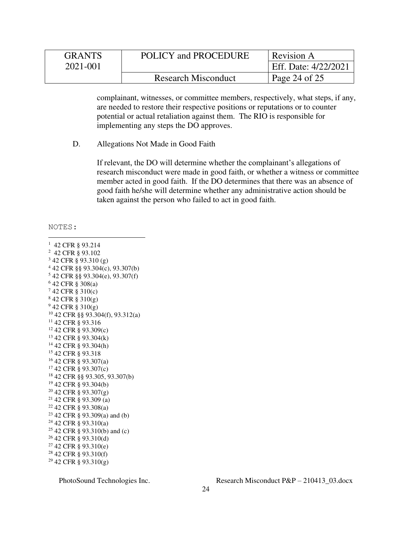| GRANTS   | POLICY and PROCEDURE       | <b>Revision A</b>    |
|----------|----------------------------|----------------------|
| 2021-001 |                            | Eff. Date: 4/22/2021 |
|          | <b>Research Misconduct</b> | Page 24 of 25        |

complainant, witnesses, or committee members, respectively, what steps, if any, are needed to restore their respective positions or reputations or to counter potential or actual retaliation against them. The RIO is responsible for implementing any steps the DO approves.

D. Allegations Not Made in Good Faith

<span id="page-23-0"></span>If relevant, the DO will determine whether the complainant's allegations of research misconduct were made in good faith, or whether a witness or committee member acted in good faith. If the DO determines that there was an absence of good faith he/she will determine whether any administrative action should be taken against the person who failed to act in good faith.

NOTES:

 42 CFR § 93.214 42 CFR § 93.102 42 CFR § 93.310 (g) 42 CFR §§ 93.304(c), 93.307(b) 42 CFR §§ 93.304(e), 93.307(f) 42 CFR § 308(a) 42 CFR § 310(c) 42 CFR § 310(g) <sup>9</sup> 42 CFR § 310(g) 42 CFR §§ 93.304(f), 93.312(a) 42 CFR § 93.316 42 CFR § 93.309(c) 42 CFR § 93.304(k) 42 CFR § 93.304(h) 42 CFR § 93.318 42 CFR § 93.307(a) 42 CFR § 93.307(c) 42 CFR §§ 93.305, 93.307(b) 42 CFR § 93.304(b) 42 CFR § 93.307(g) 42 CFR § 93.309 (a) 42 CFR § 93.308(a) 42 CFR § 93.309(a) and (b) 42 CFR § 93.310(a) 42 CFR § 93.310(b) and (c) 42 CFR § 93.310(d) 42 CFR § 93.310(e) 42 CFR § 93.310(f) 42 CFR § 93.310(g)